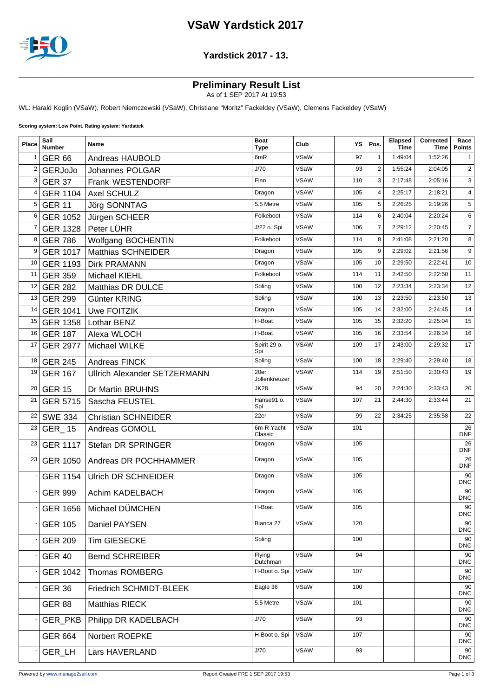## **VSaW Yardstick 2017**



#### **Yardstick 2017 - 13.**

### **Preliminary Result List**

As of 1 SEP 2017 At 19:53

WL: Harald Koglin (VSaW), Robert Niemczewski (VSaW), Christiane "Moritz" Fackeldey (VSaW), Clemens Fackeldey (VSaW)

**Scoring system: Low Point. Rating system: Yardstick**

| Place       | Sail<br><b>Number</b> | Name                                | <b>Boat</b><br><b>Type</b> | Club        | ΥS  | Pos.           | <b>Elapsed</b><br>Time | Corrected<br>Time | Race<br><b>Points</b> |
|-------------|-----------------------|-------------------------------------|----------------------------|-------------|-----|----------------|------------------------|-------------------|-----------------------|
| $\mathbf 1$ | <b>GER 66</b>         | Andreas HAUBOLD                     | 6mR                        | VSaW        | 97  | $\mathbf{1}$   | 1:49:04                | 1:52:26           | 1                     |
| 2           | <b>GERJoJo</b>        | Johannes POLGAR                     | J/70                       | VSaW        | 93  | $\mathbf{2}$   | 1:55:24                | 2:04:05           | $\overline{c}$        |
| 3           | <b>GER 37</b>         | Frank WESTENDORF                    | Finn                       | <b>VSAW</b> | 110 | 3              | 2:17:48                | 2:05:16           | 3                     |
| 4           | <b>GER 1104</b>       | <b>Axel SCHULZ</b>                  | Dragon                     | <b>VSAW</b> | 105 | $\overline{4}$ | 2:25:17                | 2:18:21           | $\overline{4}$        |
| 5           | <b>GER 11</b>         | Jörg SONNTAG                        | 5.5 Metre                  | VSaW        | 105 | 5              | 2:26:25                | 2:19:26           | 5                     |
| 6           | <b>GER 1052</b>       | Jürgen SCHEER                       | Folkeboot                  | VSaW        | 114 | 6              | 2:40:04                | 2:20:24           | 6                     |
| 7           | <b>GER 1328</b>       | Peter LÜHR                          | J/22 o. Spi                | <b>VSAW</b> | 106 | $\overline{7}$ | 2:29:12                | 2:20:45           | $\overline{7}$        |
| 8           | <b>GER 786</b>        | Wolfgang BOCHENTIN                  | Folkeboot                  | VSaW        | 114 | 8              | 2:41:08                | 2:21:20           | 8                     |
| 9           | <b>GER 1017</b>       | <b>Matthias SCHNEIDER</b>           | Dragon                     | VSaW        | 105 | 9              | 2:29:02                | 2:21:56           | 9                     |
| 10          | <b>GER 1193</b>       | <b>Dirk PRAMANN</b>                 | Dragon                     | VSaW        | 105 | 10             | 2:29:50                | 2:22:41           | 10                    |
| 11          | <b>GER 359</b>        | <b>Michael KIEHL</b>                | Folkeboot                  | VSaW        | 114 | 11             | 2:42:50                | 2:22:50           | 11                    |
| 12          | <b>GER 282</b>        | Matthias DR DULCE                   | Soling                     | VSaW        | 100 | 12             | 2:23:34                | 2:23:34           | 12                    |
| 13          | <b>GER 299</b>        | Günter KRING                        | Soling                     | VSaW        | 100 | 13             | 2:23:50                | 2:23:50           | 13                    |
| 14          | <b>GER 1041</b>       | <b>Uwe FOITZIK</b>                  | Dragon                     | VSaW        | 105 | 14             | 2:32:00                | 2:24:45           | 14                    |
| 15          | <b>GER 1358</b>       | Lothar BENZ                         | H-Boat                     | VSaW        | 105 | 15             | 2:32:20                | 2:25:04           | 15                    |
| 16          | <b>GER 187</b>        | Alexa WLOCH                         | H-Boat                     | <b>VSAW</b> | 105 | 16             | 2:33:54                | 2:26:34           | 16                    |
| 17          | <b>GER 2977</b>       | Michael WILKE                       | Spirit 29 o.<br>Spi        | <b>VSAW</b> | 109 | 17             | 2:43:00                | 2:29:32           | 17                    |
| 18          | <b>GER 245</b>        | <b>Andreas FINCK</b>                | Soling                     | VSaW        | 100 | 18             | 2:29:40                | 2:29:40           | 18                    |
| 19          | <b>GER 167</b>        | <b>Ullrich Alexander SETZERMANN</b> | 20er<br>Jollenkreuzer      | <b>VSAW</b> | 114 | 19             | 2:51:50                | 2:30:43           | 19                    |
| 20          | <b>GER 15</b>         | Dr Martin BRUHNS                    | <b>JK28</b>                | VSaW        | 94  | 20             | 2:24:30                | 2:33:43           | 20                    |
| 21          | <b>GER 5715</b>       | Sascha FEUSTEL                      | Hanse91 o.<br>Spi          | VSaW        | 107 | 21             | 2:44:30                | 2:33:44           | 21                    |
| 22          | <b>SWE 334</b>        | <b>Christian SCHNEIDER</b>          | 22er                       | VSaW        | 99  | 22             | 2:34:25                | 2:35:58           | 22                    |
| 23          | GER_15                | Andreas GOMOLL                      | 6m-R Yacht<br>Classic      | VSaW        | 101 |                |                        |                   | 26<br><b>DNF</b>      |
| 23          | <b>GER 1117</b>       | Stefan DR SPRINGER                  | Dragon                     | VSaW        | 105 |                |                        |                   | 26<br>DNF             |
| 23          | <b>GER 1050</b>       | Andreas DR POCHHAMMER               | Dragon                     | VSaW        | 105 |                |                        |                   | 26<br><b>DNF</b>      |
|             | <b>GER 1154</b>       | <b>Ulrich DR SCHNEIDER</b>          | Dragon                     | VSaW        | 105 |                |                        |                   | 90<br><b>DNC</b>      |
|             | <b>GER 999</b>        | Achim KADELBACH                     | Dragon                     | VSaW        | 105 |                |                        |                   | 90<br><b>DNC</b>      |
|             |                       | GER 1656   Michael DÜMCHEN          | H-Boat                     | VSaW        | 105 |                |                        |                   | 90<br><b>DNC</b>      |
|             | <b>GER 105</b>        | Daniel PAYSEN                       | Bianca 27                  | VSaW        | 120 |                |                        |                   | 90<br><b>DNC</b>      |
|             | <b>GER 209</b>        | Tim GIESECKE                        | Soling                     |             | 100 |                |                        |                   | 90<br><b>DNC</b>      |
|             | <b>GER 40</b>         | <b>Bernd SCHREIBER</b>              | Flying<br>Dutchman         | VSaW        | 94  |                |                        |                   | 90<br><b>DNC</b>      |
|             | <b>GER 1042</b>       | Thomas ROMBERG                      | H-Boot o. Spi              | VSaW        | 107 |                |                        |                   | 90<br><b>DNC</b>      |
|             | <b>GER 36</b>         | Friedrich SCHMIDT-BLEEK             | Eagle 36                   | VSaW        | 100 |                |                        |                   | 90<br><b>DNC</b>      |
|             | <b>GER 88</b>         | <b>Matthias RIECK</b>               | 5.5 Metre                  | VSaW        | 101 |                |                        |                   | 90<br><b>DNC</b>      |
|             | GER_PKB               | Philipp DR KADELBACH                | J/70                       | VSaW        | 93  |                |                        |                   | 90<br><b>DNC</b>      |
|             | <b>GER 664</b>        | Norbert ROEPKE                      | H-Boot o. Spi              | VSaW        | 107 |                |                        |                   | 90<br><b>DNC</b>      |
|             | GER_LH                | Lars HAVERLAND                      | J/70                       | <b>VSAW</b> | 93  |                |                        |                   | 90<br><b>DNC</b>      |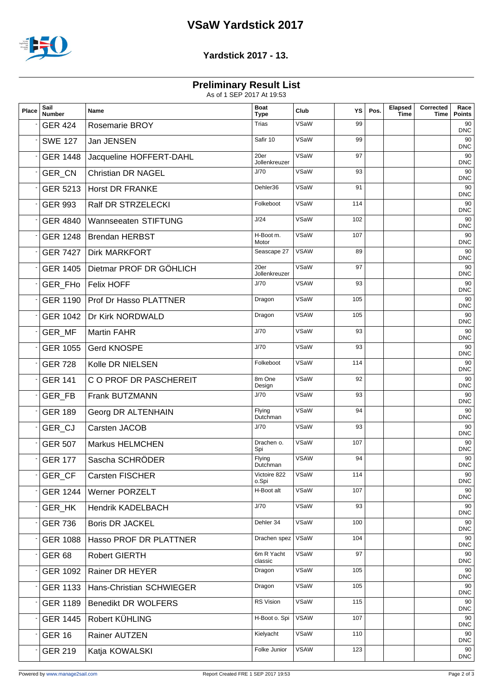# **VSaW Yardstick 2017**



### **Yardstick 2017 - 13.**

**Preliminary Result List**

As of 1 SEP 2017 At 19:53

| <b>Trias</b><br>VSaW<br>99<br>90<br><b>GER 424</b><br><b>Rosemarie BROY</b><br><b>DNC</b><br>Safir 10<br>VSaW<br>99<br>90<br><b>SWE 127</b><br>Jan JENSEN<br><b>DNC</b><br>VSaW<br>20er<br>97<br>90<br><b>GER 1448</b><br>Jacqueline HOFFERT-DAHL<br>Jollenkreuzer<br><b>DNC</b><br>J/70<br>VSaW<br>93<br>90<br>GER_CN<br><b>Christian DR NAGEL</b><br><b>DNC</b><br>VSaW<br>Dehler36<br>91<br>GER 5213 Horst DR FRANKE<br>90<br><b>DNC</b><br>VSaW<br>114<br>Folkeboot<br>90<br>Ralf DR STRZELECKI<br><b>GER 993</b><br><b>DNC</b><br>J/24<br>VSaW<br>102<br>90<br><b>GER 4840</b><br>Wannseeaten STIFTUNG<br><b>DNC</b><br>VSaW<br>H-Boot m.<br>107<br>90<br>GER 1248   Brendan HERBST<br>Motor<br><b>DNC</b><br><b>VSAW</b><br>Seascape 27<br>89<br>90<br><b>GER 7427</b><br><b>Dirk MARKFORT</b><br><b>DNC</b><br>VSaW<br>20er<br>97<br>Dietmar PROF DR GÖHLICH<br>90<br><b>GER 1405</b><br>Jollenkreuzer<br><b>DNC</b><br><b>VSAW</b><br>J/70<br>93<br>90<br>GER_FHo   Felix HOFF<br><b>DNC</b><br>VSaW<br>Dragon<br>105<br><b>GER 1190</b><br>90<br><b>Prof Dr Hasso PLATTNER</b><br><b>DNC</b><br><b>VSAW</b><br>105<br>90<br>Dragon<br>GER 1042<br>Dr Kirk NORDWALD<br><b>DNC</b><br>J/70<br>VSaW<br>93<br>90<br>GER MF<br><b>Martin FAHR</b><br><b>DNC</b><br>J/70<br>VSaW<br>93<br>90<br><b>GER 1055</b><br><b>Gerd KNOSPE</b><br><b>DNC</b><br>VSaW<br>114<br>Folkeboot<br>90<br><b>GER 728</b><br>Kolle DR NIELSEN<br><b>DNC</b><br>VSaW<br>8m One<br>92<br>90<br><b>GER 141</b><br>C O PROF DR PASCHEREIT<br>Design<br><b>DNC</b><br>VSaW<br>J/70<br>93<br>90<br>GER_FB<br>Frank BUTZMANN<br><b>DNC</b><br>VSaW<br>94<br>Flying<br>90<br><b>GER 189</b><br>Georg DR ALTENHAIN<br><b>DNC</b><br>Dutchman<br>J/70<br>VSaW<br>93<br>90<br>GER_CJ<br>Carsten JACOB<br><b>DNC</b><br>VSaW<br>107<br>Drachen o.<br>90<br><b>GER 507</b><br><b>Markus HELMCHEN</b><br><b>DNC</b><br>Spi<br><b>VSAW</b><br>90<br>Sascha SCHRÖDER<br>94<br><b>GER 177</b><br>Flying<br>Dutchman<br><b>DNC</b><br>$\overline{\mathsf{V}\mathsf{S}\mathsf{a}\mathsf{W}}$<br>Victoire 822<br>90<br>114<br>GER_CF<br><b>Carsten FISCHER</b><br><b>DNC</b><br>o.Spi<br>H-Boot alt<br>VSaW<br>107<br>90<br><b>GER 1244</b><br>Werner PORZELT<br><b>DNC</b><br>J/70<br>VSaW<br>93<br>90<br><b>Hendrik KADELBACH</b><br>GER_HK<br><b>DNC</b><br>Dehler 34<br>VSaW<br>100<br>90<br><b>GER 736</b><br><b>Boris DR JACKEL</b><br><b>DNC</b><br>VSaW<br>90<br>Drachen spez<br>104<br>Hasso PROF DR PLATTNER<br><b>GER 1088</b><br><b>DNC</b><br>6m R Yacht<br>VSaW<br>97<br><b>GER 68</b><br>90<br><b>Robert GIERTH</b><br>classic<br><b>DNC</b><br>VSaW<br>105<br>90<br>Rainer DR HEYER<br>Dragon<br><b>GER 1092</b><br><b>DNC</b><br>VSaW<br>105<br>Dragon<br>90<br>Hans-Christian SCHWIEGER<br><b>GER 1133</b><br><b>DNC</b><br><b>RS Vision</b><br>VSaW<br>115<br>90<br><b>GER 1189</b><br><b>Benedikt DR WOLFERS</b><br><b>DNC</b><br><b>VSAW</b><br>H-Boot o. Spi<br>107<br>Robert KÜHLING<br>90<br><b>GER 1445</b><br><b>DNC</b><br>Kielyacht<br>VSaW<br>110<br>90<br><b>GER 16</b><br>Rainer AUTZEN<br><b>DNC</b><br><b>VSAW</b><br>Folke Junior<br>123<br>90<br><b>GER 219</b><br>Katja KOWALSKI<br>DNC | Place | Sail<br><b>Number</b> | Name | <b>Boat</b><br><b>Type</b> | Club | ΥS | Pos. | Elapsed<br><b>Time</b> | Corrected<br>Time | Race<br><b>Points</b> |
|------------------------------------------------------------------------------------------------------------------------------------------------------------------------------------------------------------------------------------------------------------------------------------------------------------------------------------------------------------------------------------------------------------------------------------------------------------------------------------------------------------------------------------------------------------------------------------------------------------------------------------------------------------------------------------------------------------------------------------------------------------------------------------------------------------------------------------------------------------------------------------------------------------------------------------------------------------------------------------------------------------------------------------------------------------------------------------------------------------------------------------------------------------------------------------------------------------------------------------------------------------------------------------------------------------------------------------------------------------------------------------------------------------------------------------------------------------------------------------------------------------------------------------------------------------------------------------------------------------------------------------------------------------------------------------------------------------------------------------------------------------------------------------------------------------------------------------------------------------------------------------------------------------------------------------------------------------------------------------------------------------------------------------------------------------------------------------------------------------------------------------------------------------------------------------------------------------------------------------------------------------------------------------------------------------------------------------------------------------------------------------------------------------------------------------------------------------------------------------------------------------------------------------------------------------------------------------------------------------------------------------------------------------------------------------------------------------------------------------------------------------------------------------------------------------------------------------------------------------------------------------------------------------------------------------------------------------------------------------------------------------------------------------------------------------------------------------------------------------------------------------------------------------------------------------------|-------|-----------------------|------|----------------------------|------|----|------|------------------------|-------------------|-----------------------|
|                                                                                                                                                                                                                                                                                                                                                                                                                                                                                                                                                                                                                                                                                                                                                                                                                                                                                                                                                                                                                                                                                                                                                                                                                                                                                                                                                                                                                                                                                                                                                                                                                                                                                                                                                                                                                                                                                                                                                                                                                                                                                                                                                                                                                                                                                                                                                                                                                                                                                                                                                                                                                                                                                                                                                                                                                                                                                                                                                                                                                                                                                                                                                                                          |       |                       |      |                            |      |    |      |                        |                   |                       |
|                                                                                                                                                                                                                                                                                                                                                                                                                                                                                                                                                                                                                                                                                                                                                                                                                                                                                                                                                                                                                                                                                                                                                                                                                                                                                                                                                                                                                                                                                                                                                                                                                                                                                                                                                                                                                                                                                                                                                                                                                                                                                                                                                                                                                                                                                                                                                                                                                                                                                                                                                                                                                                                                                                                                                                                                                                                                                                                                                                                                                                                                                                                                                                                          |       |                       |      |                            |      |    |      |                        |                   |                       |
|                                                                                                                                                                                                                                                                                                                                                                                                                                                                                                                                                                                                                                                                                                                                                                                                                                                                                                                                                                                                                                                                                                                                                                                                                                                                                                                                                                                                                                                                                                                                                                                                                                                                                                                                                                                                                                                                                                                                                                                                                                                                                                                                                                                                                                                                                                                                                                                                                                                                                                                                                                                                                                                                                                                                                                                                                                                                                                                                                                                                                                                                                                                                                                                          |       |                       |      |                            |      |    |      |                        |                   |                       |
|                                                                                                                                                                                                                                                                                                                                                                                                                                                                                                                                                                                                                                                                                                                                                                                                                                                                                                                                                                                                                                                                                                                                                                                                                                                                                                                                                                                                                                                                                                                                                                                                                                                                                                                                                                                                                                                                                                                                                                                                                                                                                                                                                                                                                                                                                                                                                                                                                                                                                                                                                                                                                                                                                                                                                                                                                                                                                                                                                                                                                                                                                                                                                                                          |       |                       |      |                            |      |    |      |                        |                   |                       |
|                                                                                                                                                                                                                                                                                                                                                                                                                                                                                                                                                                                                                                                                                                                                                                                                                                                                                                                                                                                                                                                                                                                                                                                                                                                                                                                                                                                                                                                                                                                                                                                                                                                                                                                                                                                                                                                                                                                                                                                                                                                                                                                                                                                                                                                                                                                                                                                                                                                                                                                                                                                                                                                                                                                                                                                                                                                                                                                                                                                                                                                                                                                                                                                          |       |                       |      |                            |      |    |      |                        |                   |                       |
|                                                                                                                                                                                                                                                                                                                                                                                                                                                                                                                                                                                                                                                                                                                                                                                                                                                                                                                                                                                                                                                                                                                                                                                                                                                                                                                                                                                                                                                                                                                                                                                                                                                                                                                                                                                                                                                                                                                                                                                                                                                                                                                                                                                                                                                                                                                                                                                                                                                                                                                                                                                                                                                                                                                                                                                                                                                                                                                                                                                                                                                                                                                                                                                          |       |                       |      |                            |      |    |      |                        |                   |                       |
|                                                                                                                                                                                                                                                                                                                                                                                                                                                                                                                                                                                                                                                                                                                                                                                                                                                                                                                                                                                                                                                                                                                                                                                                                                                                                                                                                                                                                                                                                                                                                                                                                                                                                                                                                                                                                                                                                                                                                                                                                                                                                                                                                                                                                                                                                                                                                                                                                                                                                                                                                                                                                                                                                                                                                                                                                                                                                                                                                                                                                                                                                                                                                                                          |       |                       |      |                            |      |    |      |                        |                   |                       |
|                                                                                                                                                                                                                                                                                                                                                                                                                                                                                                                                                                                                                                                                                                                                                                                                                                                                                                                                                                                                                                                                                                                                                                                                                                                                                                                                                                                                                                                                                                                                                                                                                                                                                                                                                                                                                                                                                                                                                                                                                                                                                                                                                                                                                                                                                                                                                                                                                                                                                                                                                                                                                                                                                                                                                                                                                                                                                                                                                                                                                                                                                                                                                                                          |       |                       |      |                            |      |    |      |                        |                   |                       |
|                                                                                                                                                                                                                                                                                                                                                                                                                                                                                                                                                                                                                                                                                                                                                                                                                                                                                                                                                                                                                                                                                                                                                                                                                                                                                                                                                                                                                                                                                                                                                                                                                                                                                                                                                                                                                                                                                                                                                                                                                                                                                                                                                                                                                                                                                                                                                                                                                                                                                                                                                                                                                                                                                                                                                                                                                                                                                                                                                                                                                                                                                                                                                                                          |       |                       |      |                            |      |    |      |                        |                   |                       |
|                                                                                                                                                                                                                                                                                                                                                                                                                                                                                                                                                                                                                                                                                                                                                                                                                                                                                                                                                                                                                                                                                                                                                                                                                                                                                                                                                                                                                                                                                                                                                                                                                                                                                                                                                                                                                                                                                                                                                                                                                                                                                                                                                                                                                                                                                                                                                                                                                                                                                                                                                                                                                                                                                                                                                                                                                                                                                                                                                                                                                                                                                                                                                                                          |       |                       |      |                            |      |    |      |                        |                   |                       |
|                                                                                                                                                                                                                                                                                                                                                                                                                                                                                                                                                                                                                                                                                                                                                                                                                                                                                                                                                                                                                                                                                                                                                                                                                                                                                                                                                                                                                                                                                                                                                                                                                                                                                                                                                                                                                                                                                                                                                                                                                                                                                                                                                                                                                                                                                                                                                                                                                                                                                                                                                                                                                                                                                                                                                                                                                                                                                                                                                                                                                                                                                                                                                                                          |       |                       |      |                            |      |    |      |                        |                   |                       |
|                                                                                                                                                                                                                                                                                                                                                                                                                                                                                                                                                                                                                                                                                                                                                                                                                                                                                                                                                                                                                                                                                                                                                                                                                                                                                                                                                                                                                                                                                                                                                                                                                                                                                                                                                                                                                                                                                                                                                                                                                                                                                                                                                                                                                                                                                                                                                                                                                                                                                                                                                                                                                                                                                                                                                                                                                                                                                                                                                                                                                                                                                                                                                                                          |       |                       |      |                            |      |    |      |                        |                   |                       |
|                                                                                                                                                                                                                                                                                                                                                                                                                                                                                                                                                                                                                                                                                                                                                                                                                                                                                                                                                                                                                                                                                                                                                                                                                                                                                                                                                                                                                                                                                                                                                                                                                                                                                                                                                                                                                                                                                                                                                                                                                                                                                                                                                                                                                                                                                                                                                                                                                                                                                                                                                                                                                                                                                                                                                                                                                                                                                                                                                                                                                                                                                                                                                                                          |       |                       |      |                            |      |    |      |                        |                   |                       |
|                                                                                                                                                                                                                                                                                                                                                                                                                                                                                                                                                                                                                                                                                                                                                                                                                                                                                                                                                                                                                                                                                                                                                                                                                                                                                                                                                                                                                                                                                                                                                                                                                                                                                                                                                                                                                                                                                                                                                                                                                                                                                                                                                                                                                                                                                                                                                                                                                                                                                                                                                                                                                                                                                                                                                                                                                                                                                                                                                                                                                                                                                                                                                                                          |       |                       |      |                            |      |    |      |                        |                   |                       |
|                                                                                                                                                                                                                                                                                                                                                                                                                                                                                                                                                                                                                                                                                                                                                                                                                                                                                                                                                                                                                                                                                                                                                                                                                                                                                                                                                                                                                                                                                                                                                                                                                                                                                                                                                                                                                                                                                                                                                                                                                                                                                                                                                                                                                                                                                                                                                                                                                                                                                                                                                                                                                                                                                                                                                                                                                                                                                                                                                                                                                                                                                                                                                                                          |       |                       |      |                            |      |    |      |                        |                   |                       |
|                                                                                                                                                                                                                                                                                                                                                                                                                                                                                                                                                                                                                                                                                                                                                                                                                                                                                                                                                                                                                                                                                                                                                                                                                                                                                                                                                                                                                                                                                                                                                                                                                                                                                                                                                                                                                                                                                                                                                                                                                                                                                                                                                                                                                                                                                                                                                                                                                                                                                                                                                                                                                                                                                                                                                                                                                                                                                                                                                                                                                                                                                                                                                                                          |       |                       |      |                            |      |    |      |                        |                   |                       |
|                                                                                                                                                                                                                                                                                                                                                                                                                                                                                                                                                                                                                                                                                                                                                                                                                                                                                                                                                                                                                                                                                                                                                                                                                                                                                                                                                                                                                                                                                                                                                                                                                                                                                                                                                                                                                                                                                                                                                                                                                                                                                                                                                                                                                                                                                                                                                                                                                                                                                                                                                                                                                                                                                                                                                                                                                                                                                                                                                                                                                                                                                                                                                                                          |       |                       |      |                            |      |    |      |                        |                   |                       |
|                                                                                                                                                                                                                                                                                                                                                                                                                                                                                                                                                                                                                                                                                                                                                                                                                                                                                                                                                                                                                                                                                                                                                                                                                                                                                                                                                                                                                                                                                                                                                                                                                                                                                                                                                                                                                                                                                                                                                                                                                                                                                                                                                                                                                                                                                                                                                                                                                                                                                                                                                                                                                                                                                                                                                                                                                                                                                                                                                                                                                                                                                                                                                                                          |       |                       |      |                            |      |    |      |                        |                   |                       |
|                                                                                                                                                                                                                                                                                                                                                                                                                                                                                                                                                                                                                                                                                                                                                                                                                                                                                                                                                                                                                                                                                                                                                                                                                                                                                                                                                                                                                                                                                                                                                                                                                                                                                                                                                                                                                                                                                                                                                                                                                                                                                                                                                                                                                                                                                                                                                                                                                                                                                                                                                                                                                                                                                                                                                                                                                                                                                                                                                                                                                                                                                                                                                                                          |       |                       |      |                            |      |    |      |                        |                   |                       |
|                                                                                                                                                                                                                                                                                                                                                                                                                                                                                                                                                                                                                                                                                                                                                                                                                                                                                                                                                                                                                                                                                                                                                                                                                                                                                                                                                                                                                                                                                                                                                                                                                                                                                                                                                                                                                                                                                                                                                                                                                                                                                                                                                                                                                                                                                                                                                                                                                                                                                                                                                                                                                                                                                                                                                                                                                                                                                                                                                                                                                                                                                                                                                                                          |       |                       |      |                            |      |    |      |                        |                   |                       |
|                                                                                                                                                                                                                                                                                                                                                                                                                                                                                                                                                                                                                                                                                                                                                                                                                                                                                                                                                                                                                                                                                                                                                                                                                                                                                                                                                                                                                                                                                                                                                                                                                                                                                                                                                                                                                                                                                                                                                                                                                                                                                                                                                                                                                                                                                                                                                                                                                                                                                                                                                                                                                                                                                                                                                                                                                                                                                                                                                                                                                                                                                                                                                                                          |       |                       |      |                            |      |    |      |                        |                   |                       |
|                                                                                                                                                                                                                                                                                                                                                                                                                                                                                                                                                                                                                                                                                                                                                                                                                                                                                                                                                                                                                                                                                                                                                                                                                                                                                                                                                                                                                                                                                                                                                                                                                                                                                                                                                                                                                                                                                                                                                                                                                                                                                                                                                                                                                                                                                                                                                                                                                                                                                                                                                                                                                                                                                                                                                                                                                                                                                                                                                                                                                                                                                                                                                                                          |       |                       |      |                            |      |    |      |                        |                   |                       |
|                                                                                                                                                                                                                                                                                                                                                                                                                                                                                                                                                                                                                                                                                                                                                                                                                                                                                                                                                                                                                                                                                                                                                                                                                                                                                                                                                                                                                                                                                                                                                                                                                                                                                                                                                                                                                                                                                                                                                                                                                                                                                                                                                                                                                                                                                                                                                                                                                                                                                                                                                                                                                                                                                                                                                                                                                                                                                                                                                                                                                                                                                                                                                                                          |       |                       |      |                            |      |    |      |                        |                   |                       |
|                                                                                                                                                                                                                                                                                                                                                                                                                                                                                                                                                                                                                                                                                                                                                                                                                                                                                                                                                                                                                                                                                                                                                                                                                                                                                                                                                                                                                                                                                                                                                                                                                                                                                                                                                                                                                                                                                                                                                                                                                                                                                                                                                                                                                                                                                                                                                                                                                                                                                                                                                                                                                                                                                                                                                                                                                                                                                                                                                                                                                                                                                                                                                                                          |       |                       |      |                            |      |    |      |                        |                   |                       |
|                                                                                                                                                                                                                                                                                                                                                                                                                                                                                                                                                                                                                                                                                                                                                                                                                                                                                                                                                                                                                                                                                                                                                                                                                                                                                                                                                                                                                                                                                                                                                                                                                                                                                                                                                                                                                                                                                                                                                                                                                                                                                                                                                                                                                                                                                                                                                                                                                                                                                                                                                                                                                                                                                                                                                                                                                                                                                                                                                                                                                                                                                                                                                                                          |       |                       |      |                            |      |    |      |                        |                   |                       |
|                                                                                                                                                                                                                                                                                                                                                                                                                                                                                                                                                                                                                                                                                                                                                                                                                                                                                                                                                                                                                                                                                                                                                                                                                                                                                                                                                                                                                                                                                                                                                                                                                                                                                                                                                                                                                                                                                                                                                                                                                                                                                                                                                                                                                                                                                                                                                                                                                                                                                                                                                                                                                                                                                                                                                                                                                                                                                                                                                                                                                                                                                                                                                                                          |       |                       |      |                            |      |    |      |                        |                   |                       |
|                                                                                                                                                                                                                                                                                                                                                                                                                                                                                                                                                                                                                                                                                                                                                                                                                                                                                                                                                                                                                                                                                                                                                                                                                                                                                                                                                                                                                                                                                                                                                                                                                                                                                                                                                                                                                                                                                                                                                                                                                                                                                                                                                                                                                                                                                                                                                                                                                                                                                                                                                                                                                                                                                                                                                                                                                                                                                                                                                                                                                                                                                                                                                                                          |       |                       |      |                            |      |    |      |                        |                   |                       |
|                                                                                                                                                                                                                                                                                                                                                                                                                                                                                                                                                                                                                                                                                                                                                                                                                                                                                                                                                                                                                                                                                                                                                                                                                                                                                                                                                                                                                                                                                                                                                                                                                                                                                                                                                                                                                                                                                                                                                                                                                                                                                                                                                                                                                                                                                                                                                                                                                                                                                                                                                                                                                                                                                                                                                                                                                                                                                                                                                                                                                                                                                                                                                                                          |       |                       |      |                            |      |    |      |                        |                   |                       |
|                                                                                                                                                                                                                                                                                                                                                                                                                                                                                                                                                                                                                                                                                                                                                                                                                                                                                                                                                                                                                                                                                                                                                                                                                                                                                                                                                                                                                                                                                                                                                                                                                                                                                                                                                                                                                                                                                                                                                                                                                                                                                                                                                                                                                                                                                                                                                                                                                                                                                                                                                                                                                                                                                                                                                                                                                                                                                                                                                                                                                                                                                                                                                                                          |       |                       |      |                            |      |    |      |                        |                   |                       |
|                                                                                                                                                                                                                                                                                                                                                                                                                                                                                                                                                                                                                                                                                                                                                                                                                                                                                                                                                                                                                                                                                                                                                                                                                                                                                                                                                                                                                                                                                                                                                                                                                                                                                                                                                                                                                                                                                                                                                                                                                                                                                                                                                                                                                                                                                                                                                                                                                                                                                                                                                                                                                                                                                                                                                                                                                                                                                                                                                                                                                                                                                                                                                                                          |       |                       |      |                            |      |    |      |                        |                   |                       |
|                                                                                                                                                                                                                                                                                                                                                                                                                                                                                                                                                                                                                                                                                                                                                                                                                                                                                                                                                                                                                                                                                                                                                                                                                                                                                                                                                                                                                                                                                                                                                                                                                                                                                                                                                                                                                                                                                                                                                                                                                                                                                                                                                                                                                                                                                                                                                                                                                                                                                                                                                                                                                                                                                                                                                                                                                                                                                                                                                                                                                                                                                                                                                                                          |       |                       |      |                            |      |    |      |                        |                   |                       |
|                                                                                                                                                                                                                                                                                                                                                                                                                                                                                                                                                                                                                                                                                                                                                                                                                                                                                                                                                                                                                                                                                                                                                                                                                                                                                                                                                                                                                                                                                                                                                                                                                                                                                                                                                                                                                                                                                                                                                                                                                                                                                                                                                                                                                                                                                                                                                                                                                                                                                                                                                                                                                                                                                                                                                                                                                                                                                                                                                                                                                                                                                                                                                                                          |       |                       |      |                            |      |    |      |                        |                   |                       |
|                                                                                                                                                                                                                                                                                                                                                                                                                                                                                                                                                                                                                                                                                                                                                                                                                                                                                                                                                                                                                                                                                                                                                                                                                                                                                                                                                                                                                                                                                                                                                                                                                                                                                                                                                                                                                                                                                                                                                                                                                                                                                                                                                                                                                                                                                                                                                                                                                                                                                                                                                                                                                                                                                                                                                                                                                                                                                                                                                                                                                                                                                                                                                                                          |       |                       |      |                            |      |    |      |                        |                   |                       |
|                                                                                                                                                                                                                                                                                                                                                                                                                                                                                                                                                                                                                                                                                                                                                                                                                                                                                                                                                                                                                                                                                                                                                                                                                                                                                                                                                                                                                                                                                                                                                                                                                                                                                                                                                                                                                                                                                                                                                                                                                                                                                                                                                                                                                                                                                                                                                                                                                                                                                                                                                                                                                                                                                                                                                                                                                                                                                                                                                                                                                                                                                                                                                                                          |       |                       |      |                            |      |    |      |                        |                   |                       |